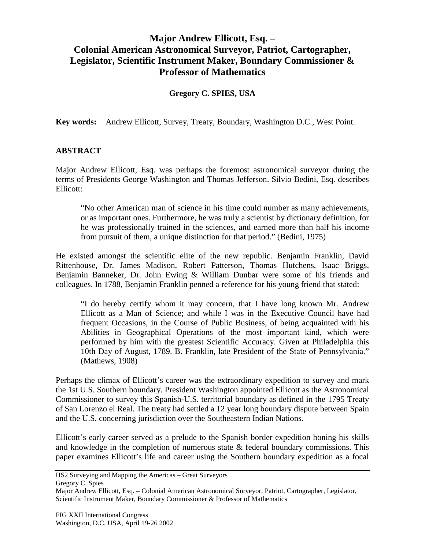## **Major Andrew Ellicott, Esq. – Colonial American Astronomical Surveyor, Patriot, Cartographer, Legislator, Scientific Instrument Maker, Boundary Commissioner & Professor of Mathematics**

## **Gregory C. SPIES, USA**

**Key words:** Andrew Ellicott, Survey, Treaty, Boundary, Washington D.C., West Point.

## **ABSTRACT**

Major Andrew Ellicott, Esq. was perhaps the foremost astronomical surveyor during the terms of Presidents George Washington and Thomas Jefferson. Silvio Bedini, Esq. describes Ellicott:

"No other American man of science in his time could number as many achievements, or as important ones. Furthermore, he was truly a scientist by dictionary definition, for he was professionally trained in the sciences, and earned more than half his income from pursuit of them, a unique distinction for that period." (Bedini, 1975)

He existed amongst the scientific elite of the new republic. Benjamin Franklin, David Rittenhouse, Dr. James Madison, Robert Patterson, Thomas Hutchens, Isaac Briggs, Benjamin Banneker, Dr. John Ewing & William Dunbar were some of his friends and colleagues. In 1788, Benjamin Franklin penned a reference for his young friend that stated:

"I do hereby certify whom it may concern, that I have long known Mr. Andrew Ellicott as a Man of Science; and while I was in the Executive Council have had frequent Occasions, in the Course of Public Business, of being acquainted with his Abilities in Geographical Operations of the most important kind, which were performed by him with the greatest Scientific Accuracy. Given at Philadelphia this 10th Day of August, 1789. B. Franklin, late President of the State of Pennsylvania." (Mathews, 1908)

Perhaps the climax of Ellicott's career was the extraordinary expedition to survey and mark the 1st U.S. Southern boundary. President Washington appointed Ellicott as the Astronomical Commissioner to survey this Spanish-U.S. territorial boundary as defined in the 1795 Treaty of San Lorenzo el Real. The treaty had settled a 12 year long boundary dispute between Spain and the U.S. concerning jurisdiction over the Southeastern Indian Nations.

Ellicott's early career served as a prelude to the Spanish border expedition honing his skills and knowledge in the completion of numerous state  $\&$  federal boundary commissions. This paper examines Ellicott's life and career using the Southern boundary expedition as a focal

Major Andrew Ellicott, Esq. – Colonial American Astronomical Surveyor, Patriot, Cartographer, Legislator, Scientific Instrument Maker, Boundary Commissioner & Professor of Mathematics